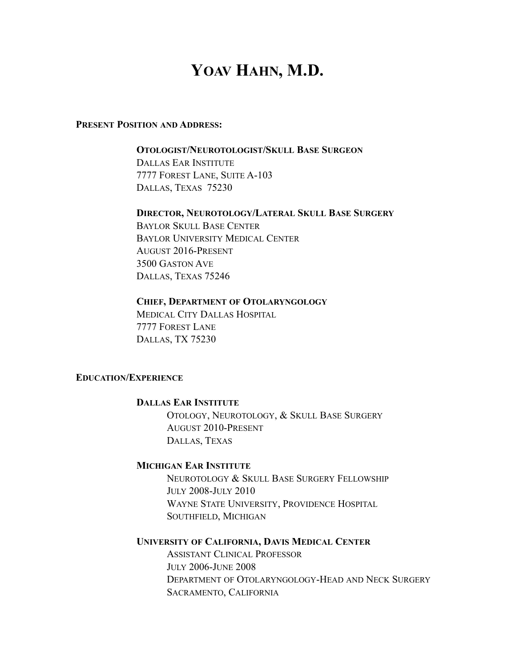# YOAV HAHN, M.D.

#### **PRESENT POSITION AND ADDRESS:**

# **OTOLOGIST/NEUROTOLOGIST/SKULL BASE SURGEON**

 DALLAS EAR INSTITUTE 7777 FOREST LANE, SUITE A-103 DALLAS, TEXAS 75230

#### **DIRECTOR, NEUROTOLOGY/LATERAL SKULL BASE SURGERY**

 BAYLOR SKULL BASE CENTER BAYLOR UNIVERSITY MEDICAL CENTER AUGUST 2016-PRESENT 3500 GASTON AVE DALLAS, TEXAS 75246

#### **CHIEF, DEPARTMENT OF OTOLARYNGOLOGY**

MEDICAL CITY DALLAS HOSPITAL 7777 FOREST LANE DALLAS, TX 75230

## **EDUCATION/EXPERIENCE**

#### **DALLAS EAR INSTITUTE**

OTOLOGY, NEUROTOLOGY, & SKULL BASE SURGERY AUGUST 2010-PRESENT DALLAS, TEXAS

#### **MICHIGAN EAR INSTITUTE**

NEUROTOLOGY & SKULL BASE SURGERY FELLOWSHIP JULY 2008-JULY 2010 WAYNE STATE UNIVERSITY, PROVIDENCE HOSPITAL SOUTHFIELD, MICHIGAN

# **UNIVERSITY OF CALIFORNIA, DAVIS MEDICAL CENTER**

ASSISTANT CLINICAL PROFESSOR JULY 2006-JUNE 2008 DEPARTMENT OF OTOLARYNGOLOGY-HEAD AND NECK SURGERY SACRAMENTO, CALIFORNIA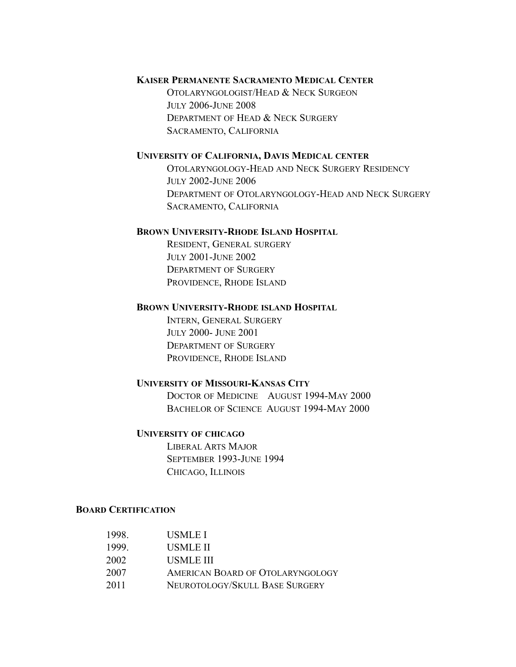# **KAISER PERMANENTE SACRAMENTO MEDICAL CENTER**

OTOLARYNGOLOGIST/HEAD & NECK SURGEON JULY 2006-JUNE 2008 DEPARTMENT OF HEAD & NECK SURGERY SACRAMENTO, CALIFORNIA

#### **UNIVERSITY OF CALIFORNIA, DAVIS MEDICAL CENTER**

OTOLARYNGOLOGY-HEAD AND NECK SURGERY RESIDENCY JULY 2002-JUNE 2006 DEPARTMENT OF OTOLARYNGOLOGY-HEAD AND NECK SURGERY SACRAMENTO, CALIFORNIA

#### **BROWN UNIVERSITY-RHODE ISLAND HOSPITAL**

RESIDENT, GENERAL SURGERY JULY 2001-JUNE 2002 DEPARTMENT OF SURGERY PROVIDENCE, RHODE ISLAND

#### **BROWN UNIVERSITY-RHODE ISLAND HOSPITAL**

INTERN, GENERAL SURGERY JULY 2000- JUNE 2001 DEPARTMENT OF SURGERY PROVIDENCE, RHODE ISLAND

#### **UNIVERSITY OF MISSOURI-KANSAS CITY**

DOCTOR OF MEDICINE AUGUST 1994-MAY 2000 BACHELOR OF SCIENCE AUGUST 1994-MAY 2000

#### **UNIVERSITY OF CHICAGO**

LIBERAL ARTS MAJOR SEPTEMBER 1993-JUNE 1994 CHICAGO, ILLINOIS

#### **BOARD CERTIFICATION**

| 1998 | USMLE I                          |
|------|----------------------------------|
| 1999 | USMLE II                         |
| 2002 | USMLE III                        |
| 2007 | AMERICAN BOARD OF OTOLARYNGOLOGY |
| 2011 | NEUROTOLOGY/SKULL BASE SURGERY   |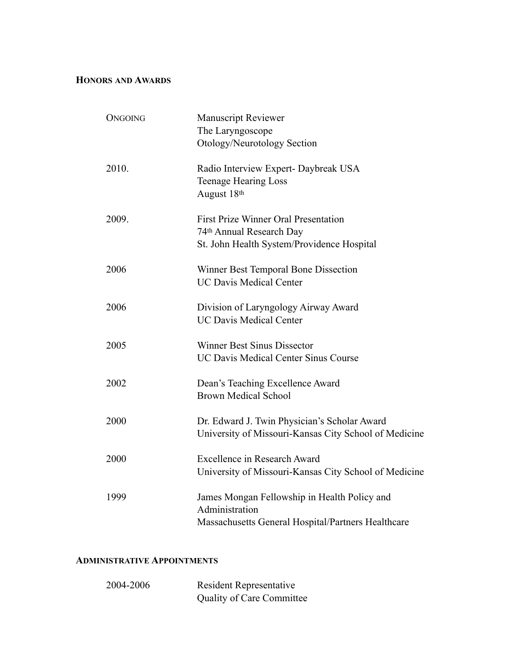# **HONORS AND AWARDS**

| <b>ONGOING</b> | <b>Manuscript Reviewer</b>                            |
|----------------|-------------------------------------------------------|
|                | The Laryngoscope                                      |
|                | Otology/Neurotology Section                           |
| 2010.          | Radio Interview Expert- Daybreak USA                  |
|                | <b>Teenage Hearing Loss</b>                           |
|                | August 18th                                           |
| 2009.          | <b>First Prize Winner Oral Presentation</b>           |
|                | 74th Annual Research Day                              |
|                | St. John Health System/Providence Hospital            |
| 2006           | Winner Best Temporal Bone Dissection                  |
|                | <b>UC Davis Medical Center</b>                        |
| 2006           | Division of Laryngology Airway Award                  |
|                | <b>UC Davis Medical Center</b>                        |
| 2005           | <b>Winner Best Sinus Dissector</b>                    |
|                | <b>UC Davis Medical Center Sinus Course</b>           |
|                |                                                       |
| 2002           | Dean's Teaching Excellence Award                      |
|                | <b>Brown Medical School</b>                           |
| 2000           | Dr. Edward J. Twin Physician's Scholar Award          |
|                | University of Missouri-Kansas City School of Medicine |
| 2000           | Excellence in Research Award                          |
|                | University of Missouri-Kansas City School of Medicine |
| 1999           | James Mongan Fellowship in Health Policy and          |
|                | Administration                                        |
|                | Massachusetts General Hospital/Partners Healthcare    |
|                |                                                       |

# **ADMINISTRATIVE APPOINTMENTS**

| 2004-2006 | <b>Resident Representative</b>   |
|-----------|----------------------------------|
|           | <b>Quality of Care Committee</b> |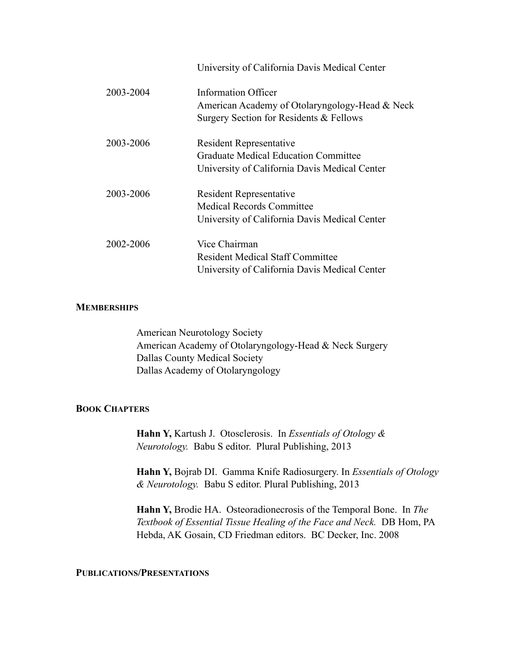|           | University of California Davis Medical Center                         |
|-----------|-----------------------------------------------------------------------|
| 2003-2004 | Information Officer<br>American Academy of Otolaryngology-Head & Neck |
|           | Surgery Section for Residents & Fellows                               |
| 2003-2006 | <b>Resident Representative</b>                                        |
|           | <b>Graduate Medical Education Committee</b>                           |
|           | University of California Davis Medical Center                         |
| 2003-2006 | <b>Resident Representative</b>                                        |
|           | <b>Medical Records Committee</b>                                      |
|           | University of California Davis Medical Center                         |
| 2002-2006 | Vice Chairman                                                         |
|           | Resident Medical Staff Committee                                      |
|           | University of California Davis Medical Center                         |

#### **MEMBERSHIPS**

American Neurotology Society American Academy of Otolaryngology-Head & Neck Surgery Dallas County Medical Society Dallas Academy of Otolaryngology

## **BOOK CHAPTERS**

**Hahn Y,** Kartush J. Otosclerosis. In *Essentials of Otology & Neurotology.* Babu S editor. Plural Publishing, 2013

**Hahn Y,** Bojrab DI. Gamma Knife Radiosurgery. In *Essentials of Otology & Neurotology.* Babu S editor. Plural Publishing, 2013

**Hahn Y,** Brodie HA.Osteoradionecrosis of the Temporal Bone. In *The Textbook of Essential Tissue Healing of the Face and Neck.* DB Hom, PA Hebda, AK Gosain, CD Friedman editors. BC Decker, Inc. 2008

# **PUBLICATIONS/PRESENTATIONS**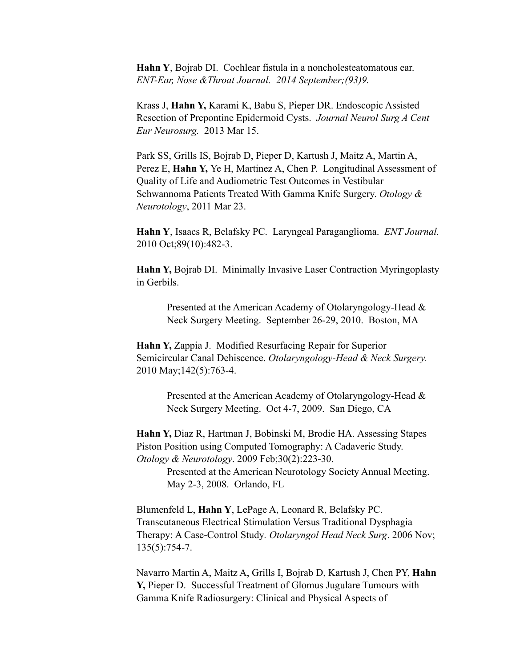**Hahn Y**, Bojrab DI. Cochlear fistula in a noncholesteatomatous ear. *ENT-Ear, Nose &Throat Journal. 2014 September;(93)9.* 

Krass J, **Hahn Y,** Karami K, Babu S, Pieper DR. Endoscopic Assisted Resection of Prepontine Epidermoid Cysts. *Journal Neurol Surg A Cent Eur Neurosurg.* 2013 Mar 15.

Park SS, Grills IS, Bojrab D, Pieper D, Kartush J, Maitz A, Martin A, Perez E, **Hahn Y,** Ye H, Martinez A, Chen P. Longitudinal Assessment of Quality of Life and Audiometric Test Outcomes in Vestibular Schwannoma Patients Treated With Gamma Knife Surgery. *Otology & Neurotology*, 2011 Mar 23.

**Hahn Y**, Isaacs R, Belafsky PC.Laryngeal Paraganglioma. *ENT Journal.*  2010 Oct;89(10):482-3.

**Hahn Y,** Bojrab DI. Minimally Invasive Laser Contraction Myringoplasty in Gerbils.

Presented at the American Academy of Otolaryngology-Head & Neck Surgery Meeting. September 26-29, 2010. Boston, MA

**Hahn Y,** Zappia J. Modified Resurfacing Repair for Superior Semicircular Canal Dehiscence. *Otolaryngology-Head & Neck Surgery.*  2010 May;142(5):763-4.

> Presented at the American Academy of Otolaryngology-Head & Neck Surgery Meeting. Oct 4-7, 2009. San Diego, CA

**Hahn Y,** Diaz R, Hartman J, Bobinski M, Brodie HA. Assessing Stapes Piston Position using Computed Tomography: A Cadaveric Study. *Otology & Neurotology*. 2009 Feb;30(2):223-30.

> Presented at the American Neurotology Society Annual Meeting. May 2-3, 2008. Orlando, FL

Blumenfeld L, **Hahn Y**, LePage A, Leonard R, Belafsky PC. Transcutaneous Electrical Stimulation Versus Traditional Dysphagia Therapy: A Case-Control Study*. Otolaryngol Head Neck Surg*. 2006 Nov; 135(5):754-7.

Navarro Martin A, Maitz A, Grills I, Bojrab D, Kartush J, Chen PY, **Hahn Y,** Pieper D. Successful Treatment of Glomus Jugulare Tumours with Gamma Knife Radiosurgery: Clinical and Physical Aspects of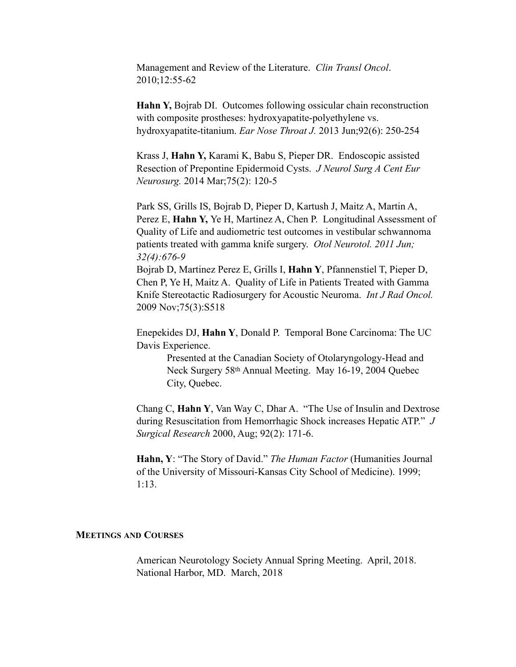Management and Review of the Literature. *Clin Transl Oncol*. 2010;12:55-62

**Hahn Y,** Bojrab DI.Outcomes following ossicular chain reconstruction with composite prostheses: hydroxyapatite-polyethylene vs. hydroxyapatite-titanium. *Ear Nose Throat J.* 2013 Jun;92(6): 250-254

Krass J, **Hahn Y,** Karami K, Babu S, Pieper DR. Endoscopic assisted Resection of Prepontine Epidermoid Cysts. *J Neurol Surg A Cent Eur Neurosurg.* 2014 Mar;75(2): 120-5

Park SS, Grills IS, Bojrab D, Pieper D, Kartush J, Maitz A, Martin A, Perez E, **Hahn Y,** Ye H, Martinez A, Chen P. Longitudinal Assessment of Quality of Life and audiometric test outcomes in vestibular schwannoma patients treated with gamma knife surgery. *Otol Neurotol. 2011 Jun; 32(4):676-9* 

Bojrab D, Martinez Perez E, Grills I, **Hahn Y**, Pfannenstiel T, Pieper D, Chen P, Ye H, Maitz A. Quality of Life in Patients Treated with Gamma Knife Stereotactic Radiosurgery for Acoustic Neuroma. *Int J Rad Oncol.*  2009 Nov;75(3):S518

Enepekides DJ, **Hahn Y**, Donald P. Temporal Bone Carcinoma: The UC Davis Experience.

> Presented at the Canadian Society of Otolaryngology-Head and Neck Surgery 58th Annual Meeting. May 16-19, 2004 Quebec City, Quebec.

Chang C, **Hahn Y**, Van Way C, Dhar A. "The Use of Insulin and Dextrose during Resuscitation from Hemorrhagic Shock increases Hepatic ATP." *J Surgical Research* 2000, Aug; 92(2): 171-6.

**Hahn, Y**: "The Story of David." *The Human Factor* (Humanities Journal of the University of Missouri-Kansas City School of Medicine). 1999; 1:13.

#### **MEETINGS AND COURSES**

American Neurotology Society Annual Spring Meeting. April, 2018. National Harbor, MD. March, 2018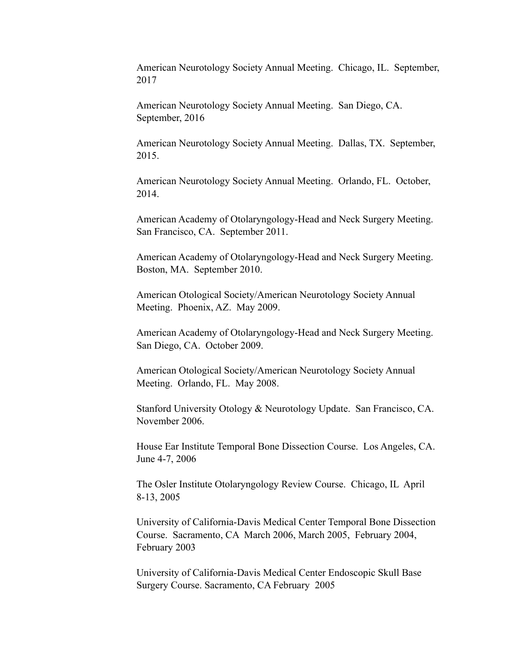American Neurotology Society Annual Meeting. Chicago, IL. September, 2017

American Neurotology Society Annual Meeting. San Diego, CA. September, 2016

American Neurotology Society Annual Meeting. Dallas, TX. September, 2015.

American Neurotology Society Annual Meeting. Orlando, FL. October, 2014.

American Academy of Otolaryngology-Head and Neck Surgery Meeting. San Francisco, CA. September 2011.

American Academy of Otolaryngology-Head and Neck Surgery Meeting. Boston, MA. September 2010.

American Otological Society/American Neurotology Society Annual Meeting. Phoenix, AZ. May 2009.

American Academy of Otolaryngology-Head and Neck Surgery Meeting. San Diego, CA. October 2009.

American Otological Society/American Neurotology Society Annual Meeting. Orlando, FL. May 2008.

Stanford University Otology & Neurotology Update. San Francisco, CA. November 2006.

House Ear Institute Temporal Bone Dissection Course. Los Angeles, CA. June 4-7, 2006

The Osler Institute Otolaryngology Review Course. Chicago, IL April 8-13, 2005

University of California-Davis Medical Center Temporal Bone Dissection Course. Sacramento, CA March 2006, March 2005, February 2004, February 2003

University of California-Davis Medical Center Endoscopic Skull Base Surgery Course. Sacramento, CA February 2005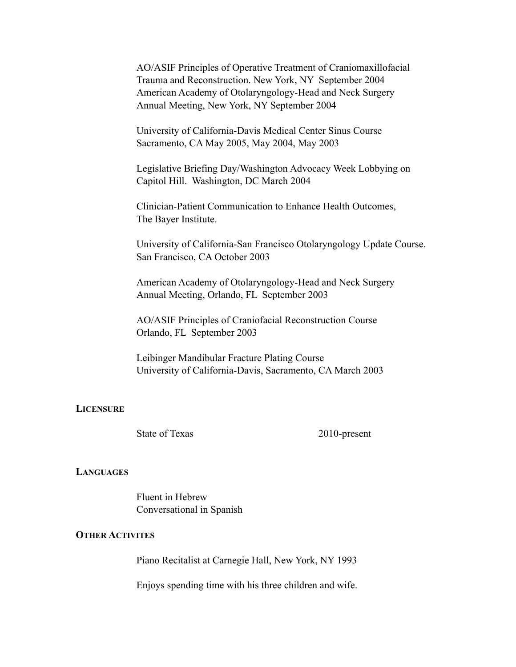AO/ASIF Principles of Operative Treatment of Craniomaxillofacial Trauma and Reconstruction. New York, NY September 2004 American Academy of Otolaryngology-Head and Neck Surgery Annual Meeting, New York, NY September 2004

University of California-Davis Medical Center Sinus Course Sacramento, CA May 2005, May 2004, May 2003

Legislative Briefing Day/Washington Advocacy Week Lobbying on Capitol Hill. Washington, DC March 2004

Clinician-Patient Communication to Enhance Health Outcomes, The Bayer Institute.

University of California-San Francisco Otolaryngology Update Course. San Francisco, CA October 2003

American Academy of Otolaryngology-Head and Neck Surgery Annual Meeting, Orlando, FL September 2003

 AO/ASIF Principles of Craniofacial Reconstruction Course Orlando, FL September 2003

Leibinger Mandibular Fracture Plating Course University of California-Davis, Sacramento, CA March 2003

#### **LICENSURE**

State of Texas 2010-present

#### **LANGUAGES**

Fluent in Hebrew Conversational in Spanish

# **OTHER ACTIVITES**

Piano Recitalist at Carnegie Hall, New York, NY 1993

Enjoys spending time with his three children and wife.